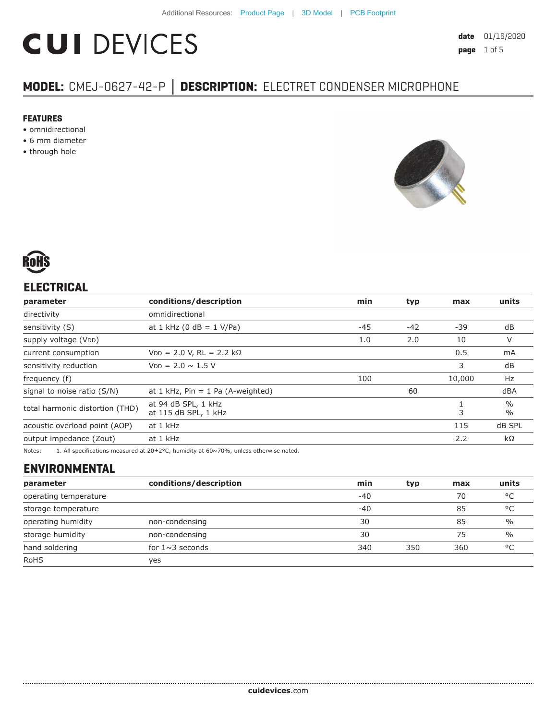# **CUI DEVICES**

## **MODEL:** CMEJ-0627-42-P **│ DESCRIPTION:** ELECTRET CONDENSER MICROPHONE

#### **FEATURES**

- omnidirectional
- 6 mm diameter
- through hole





### **ELECTRICAL**

| parameter                                                                      | conditions/description                | min   | typ   | max                            | units |
|--------------------------------------------------------------------------------|---------------------------------------|-------|-------|--------------------------------|-------|
| directivity                                                                    | omnidirectional                       |       |       |                                |       |
| sensitivity (S)                                                                | at 1 kHz (0 dB = $1$ V/Pa)            | $-45$ | $-42$ | $-39$                          | dB    |
| supply voltage (VDD)                                                           |                                       | 1.0   | 2.0   | 10                             | V     |
| current consumption                                                            | $VDD = 2.0 V$ , RL = 2.2 kΩ           |       |       | 0.5                            | mA    |
| sensitivity reduction                                                          | $V_{DD} = 2.0 \sim 1.5 V$             |       |       | 3                              | dB    |
| frequency (f)                                                                  |                                       | 100   |       | 10,000                         | Hz    |
| signal to noise ratio (S/N)                                                    | at $1$ kHz, Pin = $1$ Pa (A-weighted) | 60    |       |                                | dBA   |
| at 94 dB SPL, 1 kHz<br>total harmonic distortion (THD)<br>at 115 dB SPL, 1 kHz |                                       |       | 3     | $\frac{0}{0}$<br>$\frac{0}{0}$ |       |
| acoustic overload point (AOP)                                                  | at 1 kHz                              | 115   |       | dB SPL                         |       |
| output impedance (Zout)                                                        | at 1 kHz                              |       |       | 2.2                            | kΩ    |
|                                                                                |                                       |       |       |                                |       |

Notes: 1. All specifications measured at 20±2°C, humidity at 60~70%, unless otherwise noted.

#### **ENVIRONMENTAL**

| parameter             | conditions/description | min   | typ | max | units         |
|-----------------------|------------------------|-------|-----|-----|---------------|
| operating temperature |                        | $-40$ |     | 70  | °C            |
| storage temperature   |                        | $-40$ |     | 85  | °C            |
| operating humidity    | non-condensing         | 30    |     | 85  | $\frac{0}{0}$ |
| storage humidity      | non-condensing         | 30    |     | 75  | $\frac{0}{0}$ |
| hand soldering        | for $1 \sim 3$ seconds | 340   | 350 | 360 | °C            |
| <b>RoHS</b>           | ves                    |       |     |     |               |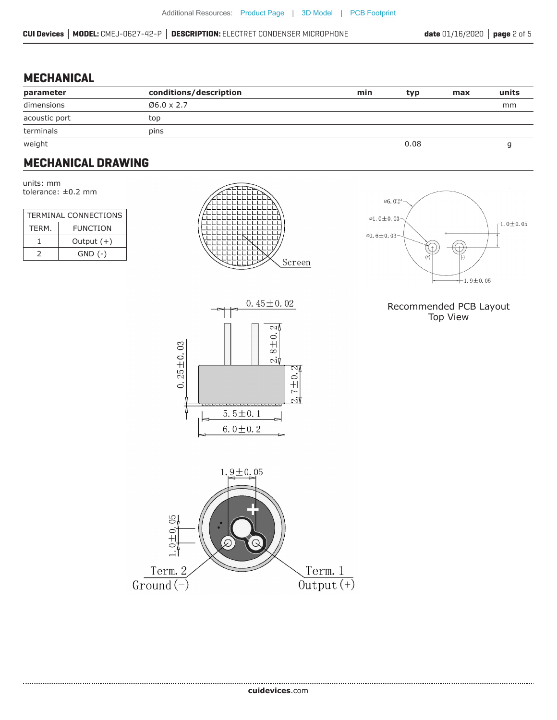#### **MECHANICAL**

| parameter     | conditions/description | min | typ  | max | units |
|---------------|------------------------|-----|------|-----|-------|
| dimensions    | $06.0 \times 2.7$      |     |      |     | mm    |
| acoustic port | top                    |     |      |     |       |
| terminals     | pins                   |     |      |     |       |
| weight        |                        |     | 0.08 |     |       |

#### **MECHANICAL DRAWING**

units: mm tolerance: ±0.2 mm

| <b>TERMINAL CONNECTIONS</b> |                 |  |  |
|-----------------------------|-----------------|--|--|
| TFRM.                       | <b>FUNCTION</b> |  |  |
|                             | Output $(+)$    |  |  |
| $\mathcal{L}$               | $GND$ $(-)$     |  |  |







#### Recommended PCB Layout Top View

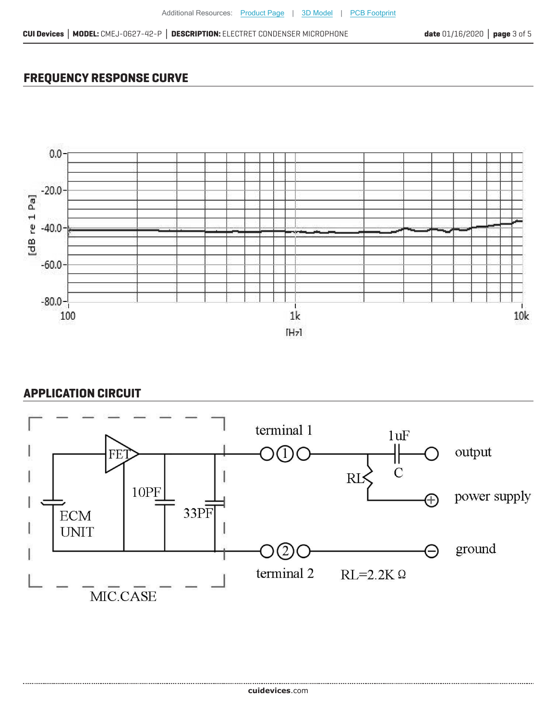## **FREQUENCY RESPONSE CURVE**



#### **APPLICATION CIRCUIT**

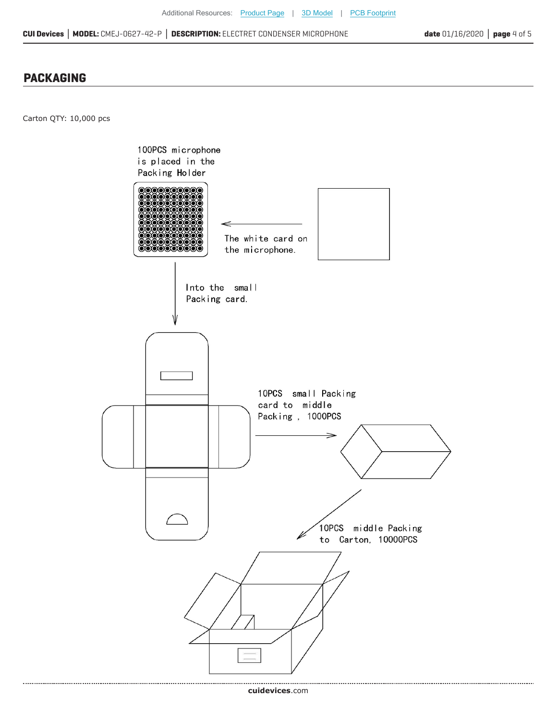#### **PACKAGING**

Carton QTY: 10,000 pcs